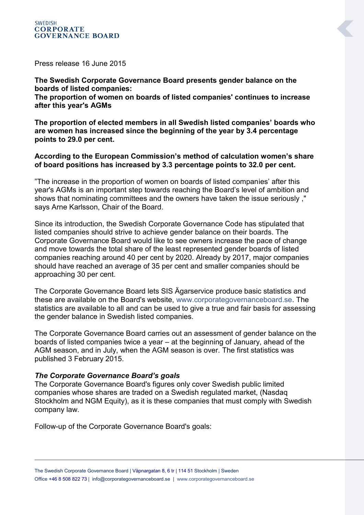Press release 16 June 2015

**The Swedish Corporate Governance Board presents gender balance on the boards of listed companies:**

**The proportion of women on boards of listed companies' continues to increase after this year's AGMs**

**The proportion of elected members in all Swedish listed companies' boards who are women has increased since the beginning of the year by 3.4 percentage points to 29.0 per cent.**

## **According to the European Commission's method of calculation women's share of board positions has increased by 3.3 percentage points to 32.0 per cent.**

"The increase in the proportion of women on boards of listed companies' after this year's AGMs is an important step towards reaching the Board's level of ambition and shows that nominating committees and the owners have taken the issue seriously ," says Arne Karlsson, Chair of the Board.

Since its introduction, the Swedish Corporate Governance Code has stipulated that listed companies should strive to achieve gender balance on their boards. The Corporate Governance Board would like to see owners increase the pace of change and move towards the total share of the least represented gender boards of listed companies reaching around 40 per cent by 2020. Already by 2017, major companies should have reached an average of 35 per cent and smaller companies should be approaching 30 per cent.

The Corporate Governance Board lets SIS Ägarservice produce basic statistics and these are available on the Board's website, [www.corporategovernanceboard.se.](http://www.corporategovernanceboard.se/) The statistics are available to all and can be used to give a true and fair basis for assessing the gender balance in Swedish listed companies.

The Corporate Governance Board carries out an assessment of gender balance on the boards of listed companies twice a year – at the beginning of January, ahead of the AGM season, and in July, when the AGM season is over. The first statistics was published 3 February 2015.

#### *The Corporate Governance Board's goals*

The Corporate Governance Board's figures only cover Swedish public limited companies whose shares are traded on a Swedish regulated market, (Nasdaq Stockholm and NGM Equity), as it is these companies that must comply with Swedish company law.

Follow-up of the Corporate Governance Board's goals: